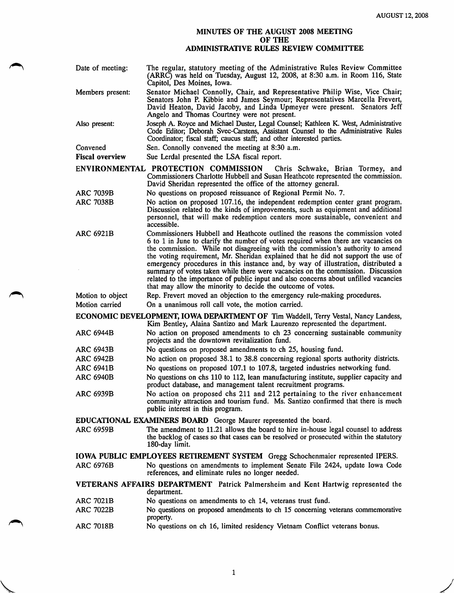## MINUTES OF THE AUGUST 2008 MEETING OF THE ADMINISTRATIVE RULES REVIEW COMMITTEE

| Date of meeting:                                                                                                                                                       | The regular, statutory meeting of the Administrative Rules Review Committee<br>(ARRC) was held on Tuesday, August 12, 2008, at 8:30 a.m. in Room 116, State<br>Capitol, Des Moines, Iowa.                                                                                                                                                                                                                                                                                                                                                                                                                                                                                |  |
|------------------------------------------------------------------------------------------------------------------------------------------------------------------------|--------------------------------------------------------------------------------------------------------------------------------------------------------------------------------------------------------------------------------------------------------------------------------------------------------------------------------------------------------------------------------------------------------------------------------------------------------------------------------------------------------------------------------------------------------------------------------------------------------------------------------------------------------------------------|--|
| Members present:                                                                                                                                                       | Senator Michael Connolly, Chair, and Representative Philip Wise, Vice Chair;<br>Senators John P. Kibbie and James Seymour; Representatives Marcella Frevert,<br>David Heaton, David Jacoby, and Linda Upmeyer were present. Senators Jeff<br>Angelo and Thomas Courtney were not present.                                                                                                                                                                                                                                                                                                                                                                                |  |
| Also present:                                                                                                                                                          | Joseph A. Royce and Michael Duster, Legal Counsel; Kathleen K. West, Administrative<br>Code Editor; Deborah Svec-Carstens, Assistant Counsel to the Administrative Rules<br>Coordinator; fiscal staff; caucus staff; and other interested parties.                                                                                                                                                                                                                                                                                                                                                                                                                       |  |
| Convened                                                                                                                                                               | Sen. Connolly convened the meeting at 8:30 a.m.                                                                                                                                                                                                                                                                                                                                                                                                                                                                                                                                                                                                                          |  |
| <b>Fiscal overview</b>                                                                                                                                                 | Sue Lerdal presented the LSA fiscal report.                                                                                                                                                                                                                                                                                                                                                                                                                                                                                                                                                                                                                              |  |
| ENVIRONMENTAL PROTECTION COMMISSION<br>Chris Schwake, Brian Tormey, and                                                                                                |                                                                                                                                                                                                                                                                                                                                                                                                                                                                                                                                                                                                                                                                          |  |
|                                                                                                                                                                        | Commissioners Charlotte Hubbell and Susan Heathcote represented the commission.<br>David Sheridan represented the office of the attorney general.                                                                                                                                                                                                                                                                                                                                                                                                                                                                                                                        |  |
| <b>ARC 7039B</b>                                                                                                                                                       | No questions on proposed reissuance of Regional Permit No. 7.                                                                                                                                                                                                                                                                                                                                                                                                                                                                                                                                                                                                            |  |
| <b>ARC 7038B</b>                                                                                                                                                       | No action on proposed 107.16, the independent redemption center grant program.<br>Discussion related to the kinds of improvements, such as equipment and additional<br>personnel, that will make redemption centers more sustainable, convenient and<br>accessible.                                                                                                                                                                                                                                                                                                                                                                                                      |  |
| <b>ARC 6921B</b>                                                                                                                                                       | Commissioners Hubbell and Heathcote outlined the reasons the commission voted<br>6 to 1 in June to clarify the number of votes required when there are vacancies on<br>the commission. While not disagreeing with the commission's authority to amend<br>the voting requirement, Mr. Sheridan explained that he did not support the use of<br>emergency procedures in this instance and, by way of illustration, distributed a<br>summary of votes taken while there were vacancies on the commission. Discussion<br>related to the importance of public input and also concerns about unfilled vacancies<br>that may allow the minority to decide the outcome of votes. |  |
| Motion to object                                                                                                                                                       | Rep. Frevert moved an objection to the emergency rule-making procedures.                                                                                                                                                                                                                                                                                                                                                                                                                                                                                                                                                                                                 |  |
| Motion carried                                                                                                                                                         | On a unanimous roll call vote, the motion carried.                                                                                                                                                                                                                                                                                                                                                                                                                                                                                                                                                                                                                       |  |
| <b>ECONOMIC DEVELOPMENT, IOWA DEPARTMENT OF Tim Waddell, Terry Vestal, Nancy Landess,</b><br>Kim Bentley, Alaina Santizo and Mark Laurenzo represented the department. |                                                                                                                                                                                                                                                                                                                                                                                                                                                                                                                                                                                                                                                                          |  |
| <b>ARC 6944B</b>                                                                                                                                                       | No action on proposed amendments to ch 23 concerning sustainable community<br>projects and the downtown revitalization fund.                                                                                                                                                                                                                                                                                                                                                                                                                                                                                                                                             |  |
| <b>ARC 6943B</b>                                                                                                                                                       | No questions on proposed amendments to ch 25, housing fund.                                                                                                                                                                                                                                                                                                                                                                                                                                                                                                                                                                                                              |  |
| <b>ARC 6942B</b>                                                                                                                                                       | No action on proposed 38.1 to 38.8 concerning regional sports authority districts.                                                                                                                                                                                                                                                                                                                                                                                                                                                                                                                                                                                       |  |
| <b>ARC 6941B</b><br><b>ARC 6940B</b>                                                                                                                                   | No questions on proposed 107.1 to 107.8, targeted industries networking fund.<br>No questions on chs 110 to 112, lean manufacturing institute, supplier capacity and                                                                                                                                                                                                                                                                                                                                                                                                                                                                                                     |  |
|                                                                                                                                                                        | product database, and management talent recruitment programs.                                                                                                                                                                                                                                                                                                                                                                                                                                                                                                                                                                                                            |  |
| <b>ARC 6939B</b>                                                                                                                                                       | No action on proposed chs 211 and 212 pertaining to the river enhancement<br>community attraction and tourism fund. Ms. Santizo confirmed that there is much<br>public interest in this program.                                                                                                                                                                                                                                                                                                                                                                                                                                                                         |  |
| <b>EDUCATIONAL EXAMINERS BOARD</b> George Maurer represented the board.                                                                                                |                                                                                                                                                                                                                                                                                                                                                                                                                                                                                                                                                                                                                                                                          |  |
| <b>ARC 6959B</b>                                                                                                                                                       | The amendment to 11.21 allows the board to hire in-house legal counsel to address<br>the backlog of cases so that cases can be resolved or prosecuted within the statutory<br>180-day limit.                                                                                                                                                                                                                                                                                                                                                                                                                                                                             |  |
|                                                                                                                                                                        | <b>IOWA PUBLIC EMPLOYEES RETIREMENT SYSTEM</b> Gregg Schochenmaier represented IPERS.                                                                                                                                                                                                                                                                                                                                                                                                                                                                                                                                                                                    |  |
| <b>ARC 6976B</b>                                                                                                                                                       | No questions on amendments to implement Senate File 2424, update Iowa Code<br>references, and eliminate rules no longer needed.                                                                                                                                                                                                                                                                                                                                                                                                                                                                                                                                          |  |
| VETERANS AFFAIRS DEPARTMENT Patrick Palmersheim and Kent Hartwig represented the<br>department.                                                                        |                                                                                                                                                                                                                                                                                                                                                                                                                                                                                                                                                                                                                                                                          |  |
| <b>ARC 7021B</b>                                                                                                                                                       | No questions on amendments to ch 14, veterans trust fund.                                                                                                                                                                                                                                                                                                                                                                                                                                                                                                                                                                                                                |  |
| <b>ARC 7022B</b>                                                                                                                                                       | No questions on proposed amendments to ch 15 concerning veterans commemorative<br>property.                                                                                                                                                                                                                                                                                                                                                                                                                                                                                                                                                                              |  |
| <b>ARC 7018B</b>                                                                                                                                                       | No questions on ch 16, limited residency Vietnam Conflict veterans bonus.                                                                                                                                                                                                                                                                                                                                                                                                                                                                                                                                                                                                |  |
|                                                                                                                                                                        |                                                                                                                                                                                                                                                                                                                                                                                                                                                                                                                                                                                                                                                                          |  |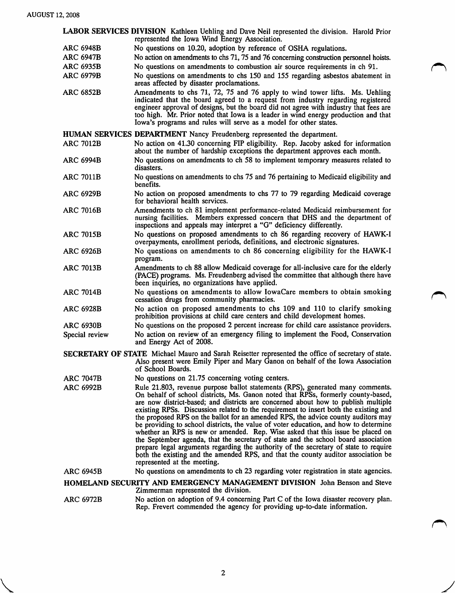LABOR SERVICES DIVISION Kathleen Uehiing and Dave Neil represented the division. Harold Prior represented the Iowa Wind Energy Association.

- ARC 6948B No questions on 10.20, adoption by reference of OSHA regulations.
- ARC 6947B No action on amendments to chs 71,75 and 76 concerning construction personnel hoists.
- ARC 6935B No questions on amendments to combustion air source requirements in ch 91.
- ARC 6979B No questions on amendments to chs 150 and 155 regarding asbestos abatement in areas affected by disaster proclamations.
- ARC 6852B Amendments to chs 71, 72, 75 and 76 apply to wind tower lifts. Ms. Uehiing indicated that the board agreed to a request from industry regarding registered engineer approval of designs, but the board did not agree with industry that fees are too high. Mr. Prior noted that Iowa is a leader in wind energy production and that Iowa's programs and rules will serve as a model for other states.

HUMAN SERVICES DEPARTMENT Nancy Freudenberg represented the department.

- No action on 41.30 concerning PIP eligibility. Rep. Jacoby asked for information about the number of hardship exceptions the department approves each month. ARC 7012B
- No questions on amendments to ch 58 to implement temporary measures related to disasters. ARC 6994B
- No questions on amendments to chs 75 and 76 pertaining to Medicaid eligibility and benefits. ARC 7011B
- No action on proposed amendments to chs 77 to 79 regarding Medicaid coverage for behavioral health services. ARC 6929B
- ARC 7016B Amendments to ch 81 implement performance-related Medicaid reimbursement for nursing facilities. Members expressed concern that DHS and the department of inspections and appeals may interpret a "G" deficiency differently.
- ARC 7015B No questions on proposed amendments to ch 86 regarding recovery of HAWK-I overpayments, enrollment periods, definitions, and electronic signatures.
- ARC 6926B No questions on amendments to ch 86 concerning eligibility for the HAWK-I program.
- ARC 7013B Amendments to ch 88 allow Medicaid coverage for all-inclusive care for the elderly (PACE) programs. Ms. Freudenberg advised the committee that although there have been inquiries, no organizations have applied.
- ARC 7014B No questions on amendments to allow lowaCare members to obtain smoking cessation drugs from community pharmacies.
- ARC 6928B No action on proposed amendments to chs 109 and 110 to clarify smoking prohibition provisions at child care centers and child development homes.
- ARC 6930B No questions on the proposed 2 percent increase for child care assistance providers. Special review No action on review of an emergency filing to implement the Food, Conservation and Energy Act of 2008.
- SECRETARY OF STATE Michael Mauro and Sarah Reisetter represented the office of secretary of state. Aso present were Emily Piper and Mary Ganon on behalf of the Iowa Association of School Boards.
- ARC 7047B No questions on 21.75 concerning voting centers.
- ARC 6992B Rule 21.803, revenue purpose ballot statements (RPS), generated many comments. On behalf of school districts, Ms. Ganon noted that RPSs, formerly county-based, are now district-based; and districts are concerned about how to publish multiple existing RPSs. Discussion related to the requirement to insert both the existing and the proposed RPS on the ballot for an amended RPS, the advice county auditors may be providing to school districts, the value of voter education, and how to determine whether an RPS is new or amended. Rep. Wise asked that this issue be placed on the September agenda, that the secretary of state and the school board association prepare legal arguments regarding the authority of the secretary of state to require both the existing and the amended RPS, and that the county auditor association be represented at the meeting.
- ARC 6945B No questions on amendments to ch 23 regarding voter registration in state agencies.

HOMELAND SECURITY AND EMERGENCY MANAGEMENT DIVISION John Benson and Steve Zimmerman represented the division.

ARC 6972B No action on adoption of 9.4 concerning Part C of the Iowa disaster recovery plan. Rep. Frevert commended the agency for providing up-to-date information.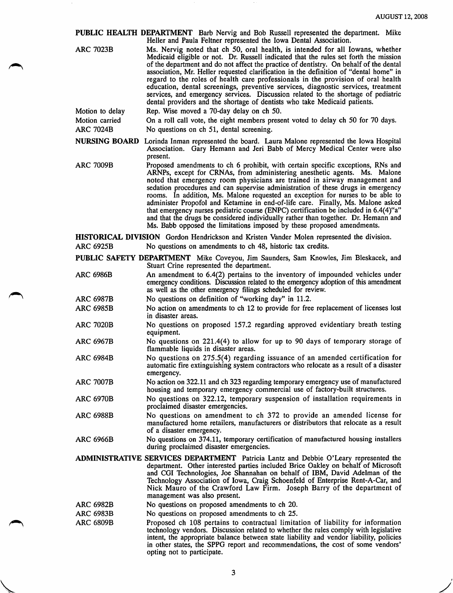PUBLIC HEALTH DEPARTMENT Barb Nervig and Bob Russell represented the department. Mike Heller and Paula Feltner represented the Iowa Dental Association.

| <b>ARC 7023B</b> | Ms. Nervig noted that ch 50, oral health, is intended for all Iowans, whether<br>Medicaid eligible or not. Dr. Russell indicated that the rules set forth the mission<br>of the department and do not affect the practice of dentistry. On behalf of the dental<br>association, Mr. Heller requested clarification in the definition of "dental home" in<br>regard to the roles of health care professionals in the provision of oral health<br>education, dental screenings, preventive services, diagnostic services, treatment<br>services, and emergency services. Discussion related to the shortage of pediatric<br>dental providers and the shortage of dentists who take Medicaid patients. |
|------------------|-----------------------------------------------------------------------------------------------------------------------------------------------------------------------------------------------------------------------------------------------------------------------------------------------------------------------------------------------------------------------------------------------------------------------------------------------------------------------------------------------------------------------------------------------------------------------------------------------------------------------------------------------------------------------------------------------------|
| Motion to delay  | Rep. Wise moved a 70-day delay on ch 50.                                                                                                                                                                                                                                                                                                                                                                                                                                                                                                                                                                                                                                                            |

Motion carried On a roll call vote, the eight members present voted to delay ch 50 for 70 days.

ARC 7024B No questions on ch 51, dental screening.

NURSING BOARD Lorinda Inman represented the board. Laura Malone represented the Iowa Hospital Association. Gary Hemann and Jeri Babb of Mercy Medical Center were also present.

ARC 7009B Proposed amendments to ch 6 prohibit, with certain specific exceptions, RNs and ARNPs, except for CRNAs, from administering anesthetic agents. Ms. Malone noted that emergency room physicians are trained in airway management and sedation procedures and can supervise administration of these drugs in emergency rooms. In addition, Ms. Malone requested an exception for nurses to be able to administer Propofol and Ketamine in end-of-life care. Finally, Ms. Malone asked that emergency nurses pediatric course (ENPC) certification be included in 6.4(4)"a" and that the drugs be considered individually rather than together. Dr. Hemann and Ms. Babb opposed the limitations imposed by these proposed amendments.

HISTORICAL DIVISION Gordon Hendrickson and Kristen Vander Molen represented the division.

ARC 6925B No questions on amendments to ch 48, historic tax credits.

PUBLIC SAFETY DEPARTMENT Mike Coveyou, Jim Saunders, Sam Knowles, Jim Bleskacek, and Stuart Crine represented the department.

- ARC 6986B An amendment to 6.4(2) pertains to the inventory of impounded vehicles under emergency conditions. Discussion related to the emergency adoption of this amendment as well as the other emergency filings scheduled for review.
- ARC 6987B No questions on definition of "working day" in 11.2.
- ARC 6985B No action on amendments to ch 12 to provide for free replacement of licenses lost in disaster areas.
- ARC 7020B No questions on proposed 157.2 regarding approved evidentiary breath testing equipment.
- ARC 6967B No questions on 221.4(4) to allow for up to 90 days of temporary storage of flammable liquids in disaster areas.
- ARC 6984B No questions on 275.5(4) regarding issuance of an amended certification for automatic fire extinguishing system contractors who relocate as a result of a disaster emergency.
- ARC 7007B No action on 322.11 and ch 323 regarding temporary emergency use of manufactured housing and temporary emergency commercial use of factory-built structures.
- ARC 6970B No questions on 322.12, temporary suspension of installation requirements in proclaimed disaster emergencies.
- ARC 6988B No questions on amendment to ch 372 to provide an amended license for manufactured home retailers, manufacturers or distributors that relocate as a result of a disaster emergency.
- ARC 6966B No questions on 374.11, temporary certification of manufactured housing installers during proclaimed disaster emergencies.
- ADMINISTRATIVE SERVICES DEPARTMENT Patricia Lantz and Debbie O'Leary represented the department. Other interested parties included Brice Oakley on behalf of Microsoft and CGI Technologies, Joe Shannahan on behalf of IBM, David Adelman of the Technology Association of Iowa, Craig Schoenfeld of Enterprise Rent-A-Car, and Nick Mauro of the Crawford Law Firm. Joseph Barry of the department of management was also present.
- ARC 6982B No questions on proposed amendments to ch 20.
- ARC 6983B No questions on proposed amendments to ch 25.
- ARC 6809B Proposed ch 108 pertains to contractual limitation of liability for information technology vendors. Discussion related to whether the rules comply with legislative intent, the appropriate balance between state liability and vendor liability, policies in other states, the SPPG report and recommendations, the cost of some vendors' opting not to participate.